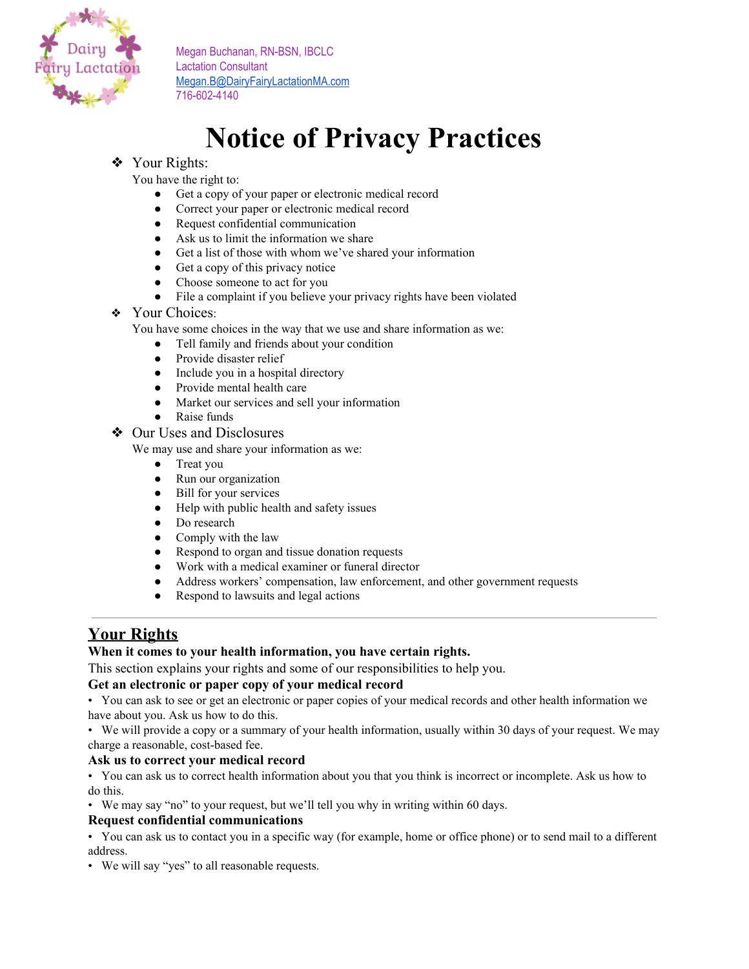

# **Notice of Privacy Practices**

# ❖ Your Rights:

You have the right to:

- Get a copy of your paper or electronic medical record
- Correct your paper or electronic medical record
- Request confidential communication
- Ask us to limit the information we share
- Get a list of those with whom we've shared your information
- Get a copy of this privacy notice
- Choose someone to act for you
- File a complaint if you believe your privacy rights have been violated
- ❖ Your Choices:

You have some choices in the way that we use and share information as we:

- Tell family and friends about your condition
- Provide disaster relief
- Include you in a hospital directory
- Provide mental health care
- Market our services and sell your information
- Raise funds
- ❖ Our Uses and Disclosures

We may use and share your information as we:

- Treat you
- Run our organization
- Bill for your services
- Help with public health and safety issues
- Do research
- Comply with the law
- Respond to organ and tissue donation requests
- Work with a medical examiner or funeral director
- Address workers' compensation, law enforcement, and other government requests
- Respond to lawsuits and legal actions

# **Your Rights**

# **When it comes to your health information, you have certain rights.**

This section explains your rights and some of our responsibilities to help you.

# **Get an electronic or paper copy of your medical record**

• You can ask to see or get an electronic or paper copies of your medical records and other health information we have about you. Ask us how to do this.

• We will provide a copy or a summary of your health information, usually within 30 days of your request. We may charge a reasonable, cost-based fee.

### **Ask us to correct your medical record**

• You can ask us to correct health information about you that you think is incorrect or incomplete. Ask us how to do this.

• We may say "no" to your request, but we'll tell you why in writing within 60 days.

### **Request confidential communications**

• You can ask us to contact you in a specific way (for example, home or office phone) or to send mail to a different address.

• We will say "yes" to all reasonable requests.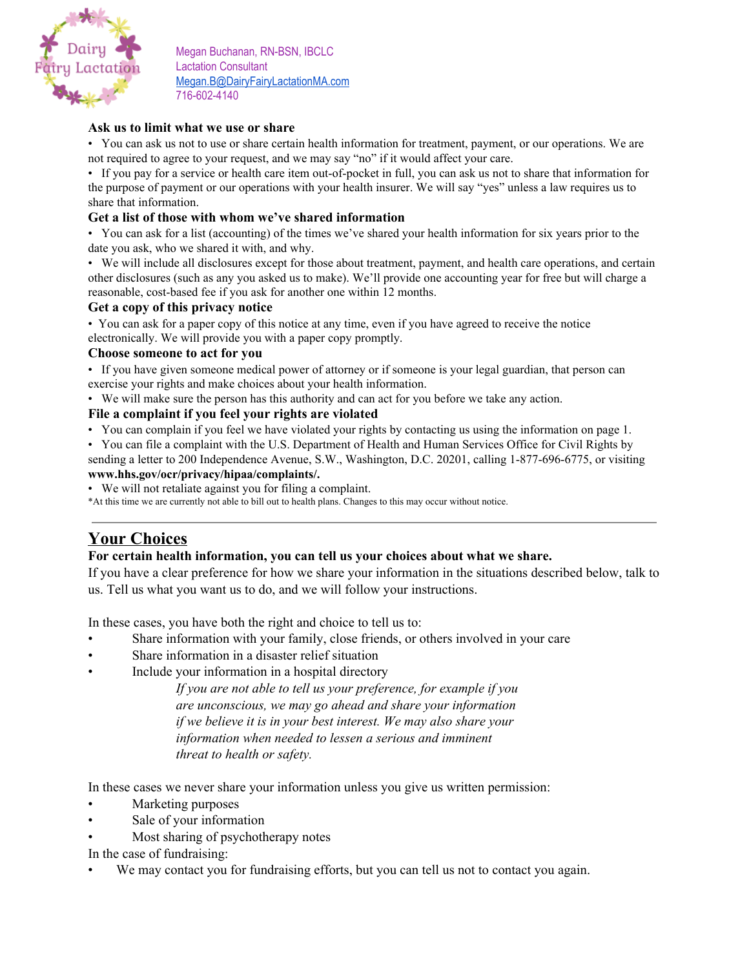

## **Ask us to limit what we use or share**

• You can ask us not to use or share certain health information for treatment, payment, or our operations. We are not required to agree to your request, and we may say "no" if it would affect your care.

• If you pay for a service or health care item out-of-pocket in full, you can ask us not to share that information for the purpose of payment or our operations with your health insurer. We will say "yes" unless a law requires us to share that information.

## **Get a list of those with whom we've shared information**

• You can ask for a list (accounting) of the times we've shared your health information for six years prior to the date you ask, who we shared it with, and why.

• We will include all disclosures except for those about treatment, payment, and health care operations, and certain other disclosures (such as any you asked us to make). We'll provide one accounting year for free but will charge a reasonable, cost-based fee if you ask for another one within 12 months.

### **Get a copy of this privacy notice**

• You can ask for a paper copy of this notice at any time, even if you have agreed to receive the notice electronically. We will provide you with a paper copy promptly.

### **Choose someone to act for you**

• If you have given someone medical power of attorney or if someone is your legal guardian, that person can exercise your rights and make choices about your health information.

• We will make sure the person has this authority and can act for you before we take any action.

## **File a complaint if you feel your rights are violated**

• You can complain if you feel we have violated your rights by contacting us using the information on page 1.

• You can file a complaint with the U.S. Department of Health and Human Services Office for Civil Rights by sending a letter to 200 Independence Avenue, S.W., Washington, D.C. 20201, calling 1-877-696-6775, or visiting

# **www.hhs.gov/ocr/privacy/hipaa/complaints/.**

• We will not retaliate against you for filing a complaint.

\*At this time we are currently not able to bill out to health plans. Changes to this may occur without notice.

# **Your Choices**

### **For certain health information, you can tell us your choices about what we share.**

If you have a clear preference for how we share your information in the situations described below, talk to us. Tell us what you want us to do, and we will follow your instructions.

In these cases, you have both the right and choice to tell us to:

- Share information with your family, close friends, or others involved in your care
- Share information in a disaster relief situation
- Include your information in a hospital directory

*If you are not able to tell us your preference, for example if you are unconscious, we may go ahead and share your information if we believe it is in your best interest. We may also share your information when needed to lessen a serious and imminent threat to health or safety.*

In these cases we never share your information unless you give us written permission:

- Marketing purposes
- Sale of your information
- Most sharing of psychotherapy notes

In the case of fundraising:

We may contact you for fundraising efforts, but you can tell us not to contact you again.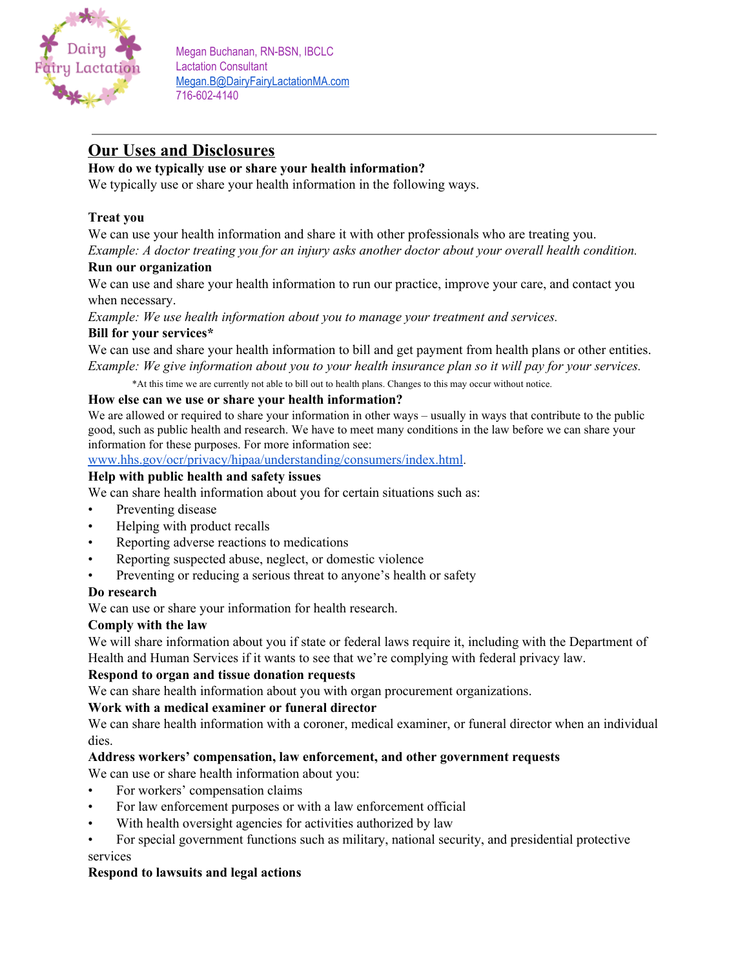

# **Our Uses and Disclosures**

# **How do we typically use or share your health information?**

We typically use or share your health information in the following ways.

# **Treat you**

We can use your health information and share it with other professionals who are treating you.

*Example: A doctor treating you for an injury asks another doctor about your overall health condition.*

# **Run our organization**

We can use and share your health information to run our practice, improve your care, and contact you when necessary.

*Example: We use health information about you to manage your treatment and services.*

## **Bill for your services\***

We can use and share your health information to bill and get payment from health plans or other entities. Example: We give information about you to your health insurance plan so it will pay for your services.

\*At this time we are currently not able to bill out to health plans. Changes to this may occur without notice.

### **How else can we use or share your health information?**

We are allowed or required to share your information in other ways – usually in ways that contribute to the public good, such as public health and research. We have to meet many conditions in the law before we can share your information for these purposes. For more information see[:](http://www.hhs.gov/ocr/privacy/hipaa/understanding/consumers/index.html)

[www.hhs.gov/ocr/privacy/hipaa/understanding/consumers/index.html](http://www.hhs.gov/ocr/privacy/hipaa/understanding/consumers/index.html).

## **Help with public health and safety issues**

We can share health information about you for certain situations such as:

- Preventing disease
- Helping with product recalls
- Reporting adverse reactions to medications
- Reporting suspected abuse, neglect, or domestic violence
- Preventing or reducing a serious threat to anyone's health or safety

### **Do research**

We can use or share your information for health research.

### **Comply with the law**

We will share information about you if state or federal laws require it, including with the Department of Health and Human Services if it wants to see that we're complying with federal privacy law.

### **Respond to organ and tissue donation requests**

We can share health information about you with organ procurement organizations.

## **Work with a medical examiner or funeral director**

We can share health information with a coroner, medical examiner, or funeral director when an individual dies.

# **Address workers' compensation, law enforcement, and other government requests**

We can use or share health information about you:

- For workers' compensation claims
- For law enforcement purposes or with a law enforcement official
- With health oversight agencies for activities authorized by law
- For special government functions such as military, national security, and presidential protective services

# **Respond to lawsuits and legal actions**